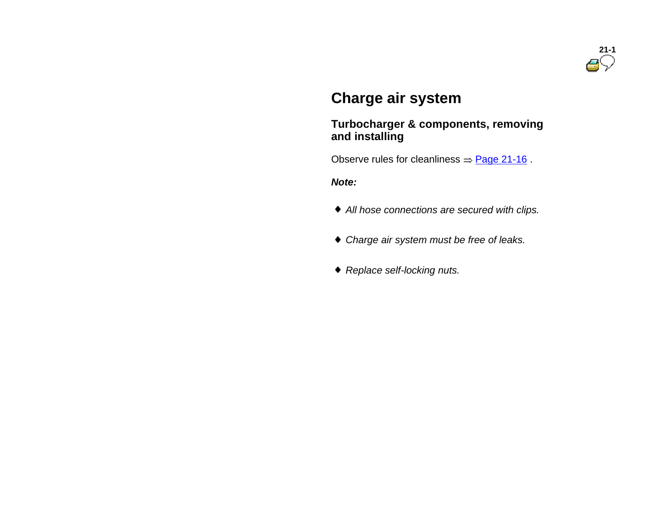

## **Charge air system**

#### **Turbocharger & components, removing and installing**

Observe rules for cleanliness  $=$  Page 21-16.

*Note:*

- *All hose connections are secured with clips.*
- *Charge air system must be free of leaks.*
- *Replace self-locking nuts.*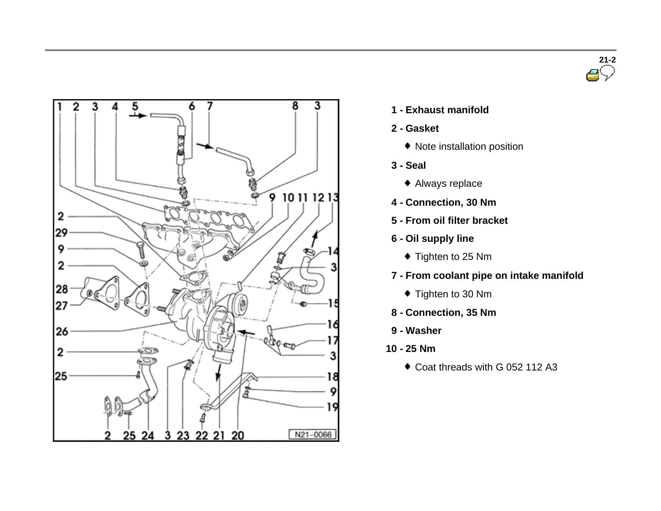



- **1 - Exhaust manifold**
- **2 - Gasket**
	- Note installation position
- **3 - Seal**
	- Always replace
- **4 - Connection, 30 Nm**
- **5 - From oil filter bracket**
- **6 - Oil supply line**
	- ◆ Tighten to 25 Nm
- **7 - From coolant pipe on intake manifold**
	- $\blacklozenge$  Tighten to 30 Nm
- **8 - Connection, 35 Nm**
- **9 - Washer**
- **10 - 25 Nm**
	- ◆ Coat threads with G 052 112 A3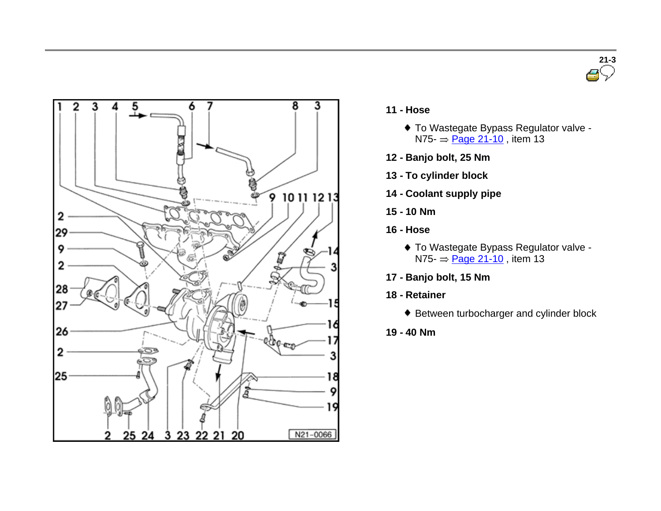



- **11 - Hose**
	- To Wastegate Bypass Regulator valve  $N75 = \text{Page } 21 - 10$ , item 13
- **12 - Banjo bolt, 25 Nm**
- **13 - To cylinder block**
- **14 - Coolant supply pipe**
- **15 - 10 Nm**
- **16 - Hose**
	- To Wastegate Bypass Regulator valve  $N75 = \text{Page } 21 - 10$ , item 13
- **17 - Banjo bolt, 15 Nm**
- **18 - Retainer**
	- ◆ Between turbocharger and cylinder block
- **19 - 40 Nm**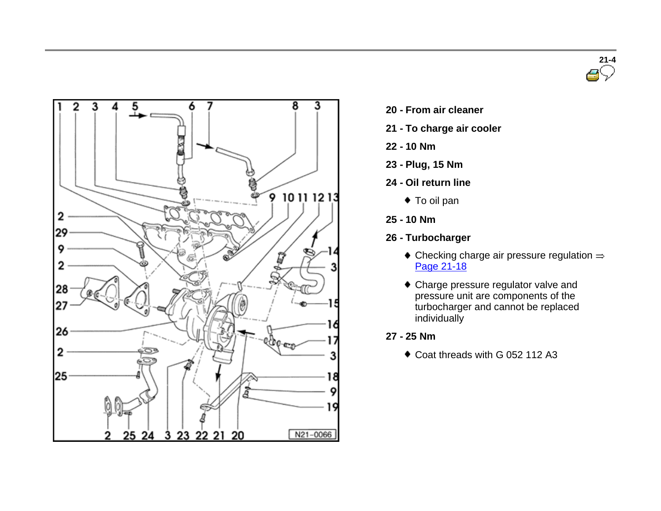



- **20 - From air cleaner**
- **21 - To charge air cooler**
- **22 - 10 Nm**
- **23 - Plug, 15 Nm**
- **24 - Oil return line**
	- ◆ To oil pan
- **25 - 10 Nm**
- **26 - Turbocharger**
	- $\bullet$  Checking charge air pressure regulation  $\Rightarrow$ Page 21-18
	- Charge pressure regulator valve and pressure unit are components of the turbocharger and cannot be replaced individually
- **27 - 25 Nm**
	- Coat threads with G 052 112 A3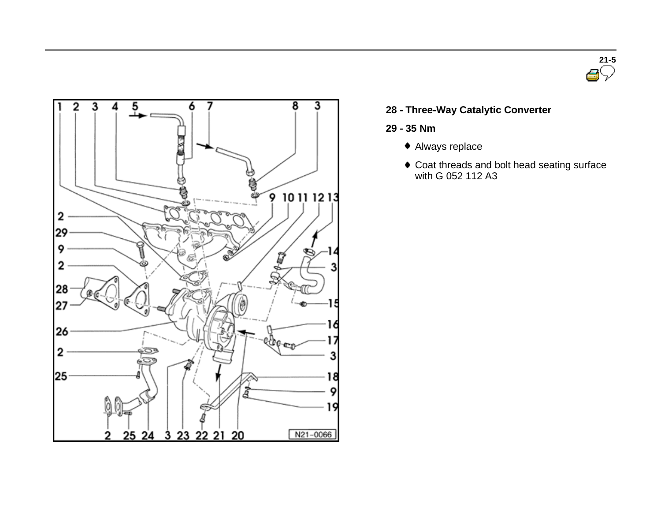



**28 - Three-Way Catalytic Converter**

#### **29 - 35 Nm**

- Always replace
- Coat threads and bolt head seating surface with G 052 112 A3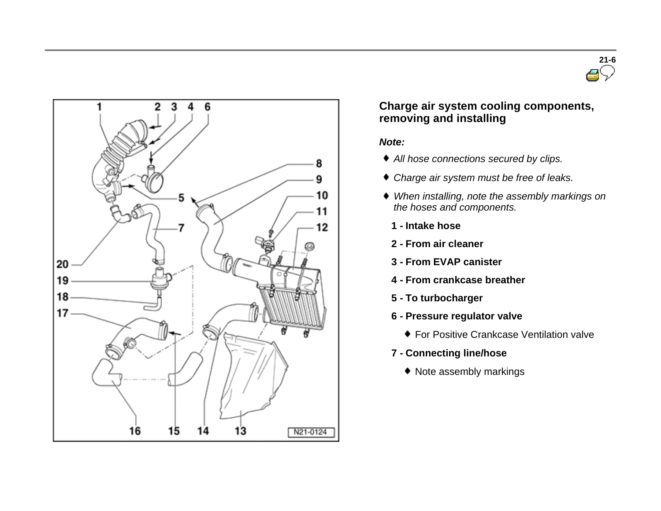



### **Charge air system cooling components, removing and installing**

#### *Note:*

- *All hose connections secured by clips.*
- *Charge air system must be free of leaks.*
- *When installing, note the assembly markings on the hoses and components.*
	- **1 - Intake hose**
	- **2 - From air cleaner**
	- **3 - From EVAP canister**
	- **4 - From crankcase breather**
	- **5 - To turbocharger**
	- **6 - Pressure regulator valve**
		- $\bullet$  **For Positive Crankcase Ventilation valve**
	- **7 - Connecting line/hose**
		- Note assembly markings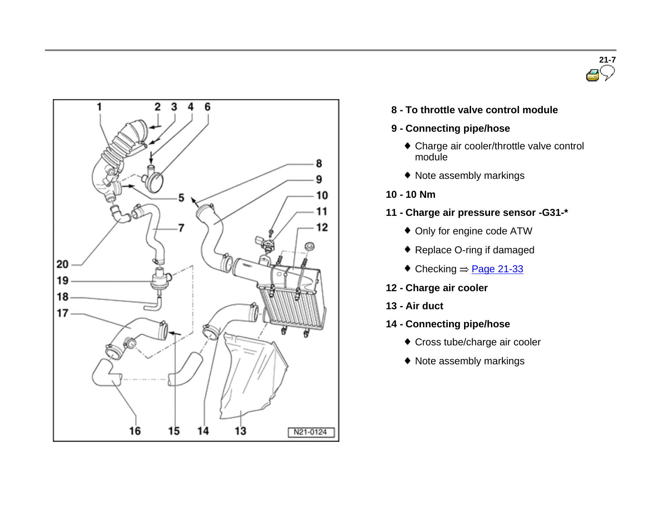



**8 - To throttle valve control module**

#### **9 - Connecting pipe/hose**

- Charge air cooler/throttle valve control module
- Note assembly markings
- **10 - 10 Nm**
- **11 - Charge air pressure sensor -G31-\***
	- Only for engine code ATW
	- Replace O-ring if damaged
	- $\bullet$  Checking  $=$  Page 21-33
- **12 - Charge air cooler**
- **13 - Air duct**
- **14 - Connecting pipe/hose**
	- Cross tube/charge air cooler
	- Note assembly markings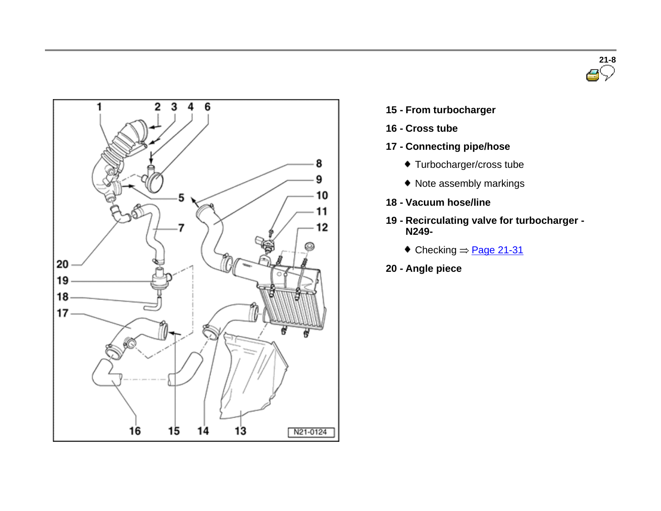



- **15 - From turbocharger**
- **16 - Cross tube**
- **17 - Connecting pipe/hose**
	- Turbocharger/cross tube
	- Note assembly markings
- **18 - Vacuum hose/line**
- **19 - Recirculating valve for turbocharger - N249-**
	- $\textcolor{blue}{\bullet}$  Checking  $=$  Page 21-31
- **20 - Angle piece**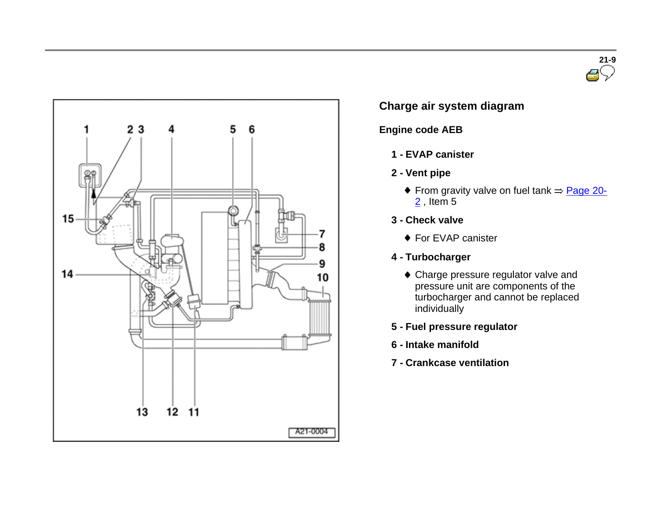



## **Charge air system diagram**

#### **Engine code AEB**

- **1 - EVAP canister**
- **2 - Vent pipe**
	- From gravity valve on fuel tank  $\Rightarrow$  Page 20- $2$ , Item 5
- **3 - Check valve**
	- ◆ For EVAP canister
- **4 - Turbocharger**
	- Charge pressure regulator valve and pressure unit are components of the turbocharger and cannot be replaced individually
- **5 - Fuel pressure regulator**
- **6 - Intake manifold**
- **7 - Crankcase ventilation**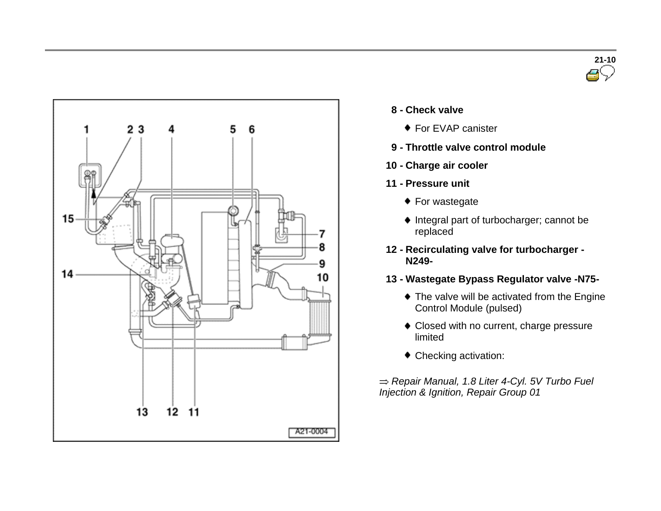



- **8 - Check valve**
	- ◆ For EVAP canister
- **9 - Throttle valve control module**
- **10 - Charge air cooler**
- **11 - Pressure unit**
	- ◆ For wastegate
	- $\bullet$  Integral part of turbocharger; cannot be replaced
- **12 - Recirculating valve for turbocharger - N249-**
- **13 - Wastegate Bypass Regulator valve -N75-**
	- $\bullet$  The valve will be activated from the Engine Control Module (pulsed)
	- Closed with no current, charge pressure limited
	- Checking activation:

*Repair Manual, 1.8 Liter 4-Cyl. 5V Turbo Fuel Injection & Ignition, Repair Group 01*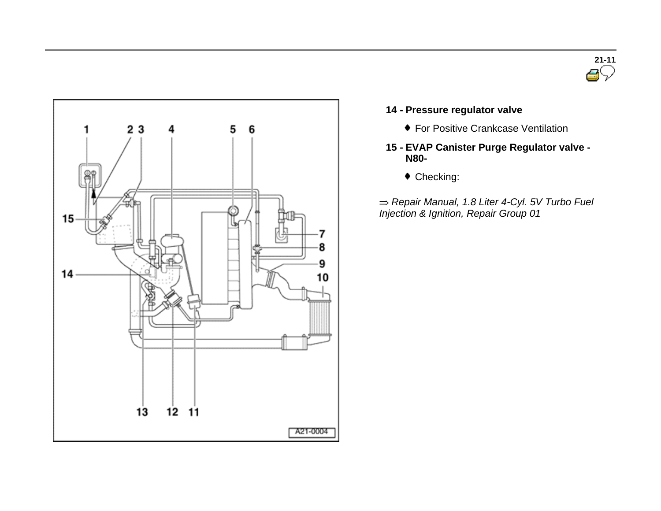



#### **14 - Pressure regulator valve**

- For Positive Crankcase Ventilation
- **15 - EVAP Canister Purge Regulator valve - N80-**
	- Checking:

*Repair Manual, 1.8 Liter 4-Cyl. 5V Turbo Fuel Injection & Ignition, Repair Group 01*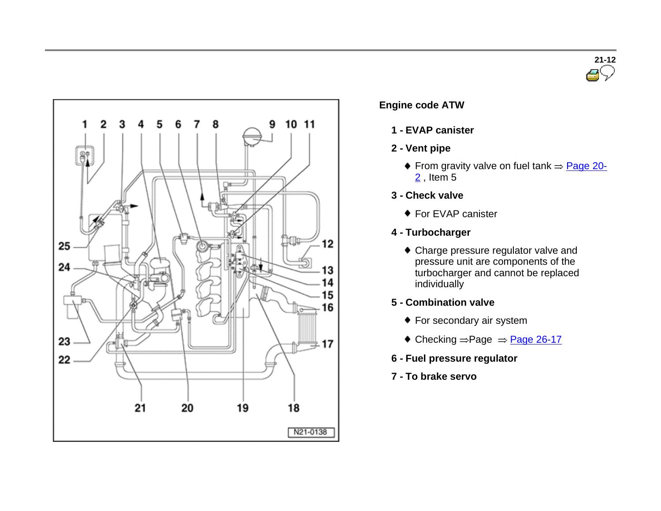



#### **Engine code ATW**

- **1 - EVAP canister**
- **2 - Vent pipe**
	- From gravity valve on fuel tank  $\Rightarrow$  Page 20- $2$ , Item 5
- **3 - Check valve**
	- ◆ For EVAP canister
- **4 - Turbocharger**
	- Charge pressure regulator valve and pressure unit are components of the turbocharger and cannot be replaced individually
- **5 - Combination valve**
	- ◆ For secondary air system
	- $\triangleleft$  Checking  $=$  Page  $\triangleleft$   $\triangleq$  Page 26-17
- **6 - Fuel pressure regulator**
- **7 - To brake servo**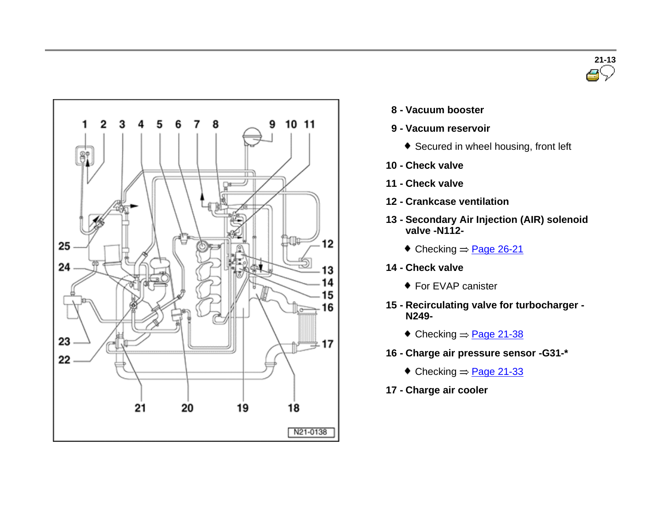



- **8 - Vacuum booster**
- **9 - Vacuum reservoir**
	- ◆ Secured in wheel housing, front left
- **10 - Check valve**
- **11 - Check valve**
- **12 - Crankcase ventilation**
- **13 - Secondary Air Injection (AIR) solenoid valve -N112-**
	- $\textcolor{blue}{\bullet}$  Checking  $\Rightarrow$  Page 26-21
- **14 - Check valve**
	- ◆ For EVAP canister
- **15 - Recirculating valve for turbocharger - N249-**
	- $\textcolor{blue}{\bullet}$  Checking  $\Rightarrow$  Page 21-38
- **16 - Charge air pressure sensor -G31-\***
	- $\bullet$  Checking  $\Rightarrow$  Page 21-33
- **17 - Charge air cooler**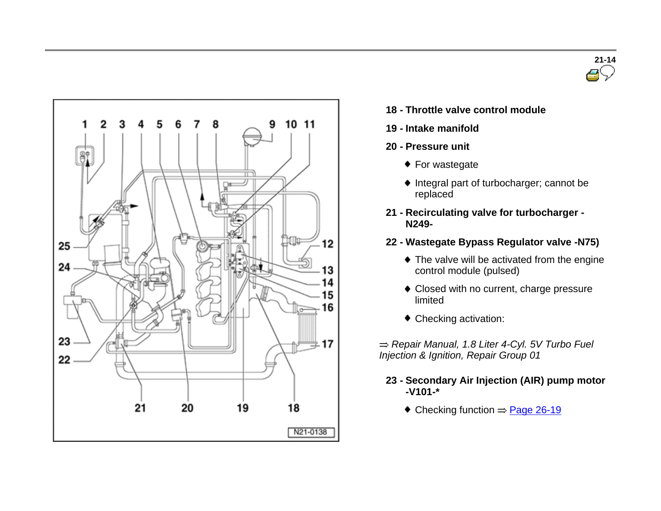



- **18 - Throttle valve control module**
- **19 - Intake manifold**
- **20 - Pressure unit**
	- ◆ For wastegate
	- $\bullet$  Integral part of turbocharger; cannot be replaced
- **21 - Recirculating valve for turbocharger - N249-**
- **22 - Wastegate Bypass Regulator valve -N75)**
	- ◆ The valve will be activated from the engine control module (pulsed)
	- Closed with no current, charge pressure limited
	- Checking activation:
- *Repair Manual, 1.8 Liter 4-Cyl. 5V Turbo Fuel Injection & Ignition, Repair Group 01*
	- **23 - Secondary Air Injection (AIR) pump motor -V101-\***
		- $\triangleleft$  Checking function  $\Rightarrow$  Page 26-19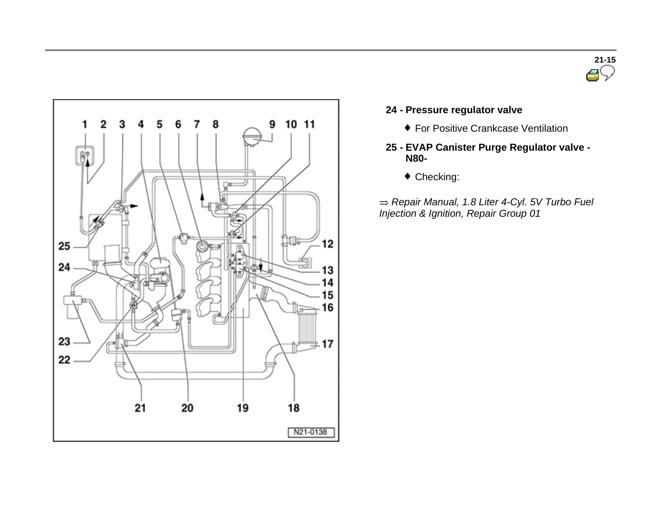



#### **24 - Pressure regulator valve**

- For Positive Crankcase Ventilation
- **25 - EVAP Canister Purge Regulator valve - N80-**
	- $\bullet$  Checking:

*Repair Manual, 1.8 Liter 4-Cyl. 5V Turbo Fuel Injection & Ignition, Repair Group 01*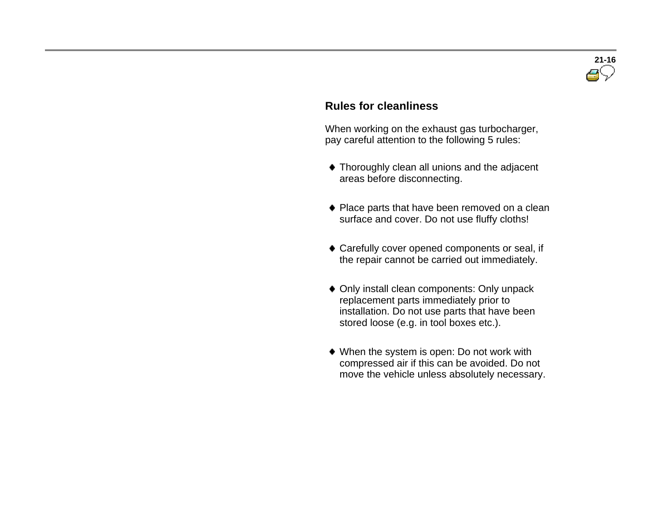

#### **Rules for cleanliness**

 When working on the exhaust gas turbocharger, pay careful attention to the following 5 rules:

- Thoroughly clean all unions and the adjacent areas before disconnecting.
- ◆ Place parts that have been removed on a clean surface and cover. Do not use fluffy cloths!
- Carefully cover opened components or seal, if the repair cannot be carried out immediately.
- Only install clean components: Only unpack replacement parts immediately prior to installation. Do not use parts that have been stored loose (e.g. in tool boxes etc.).
- When the system is open: Do not work with compressed air if this can be avoided. Do not move the vehicle unless absolutely necessary.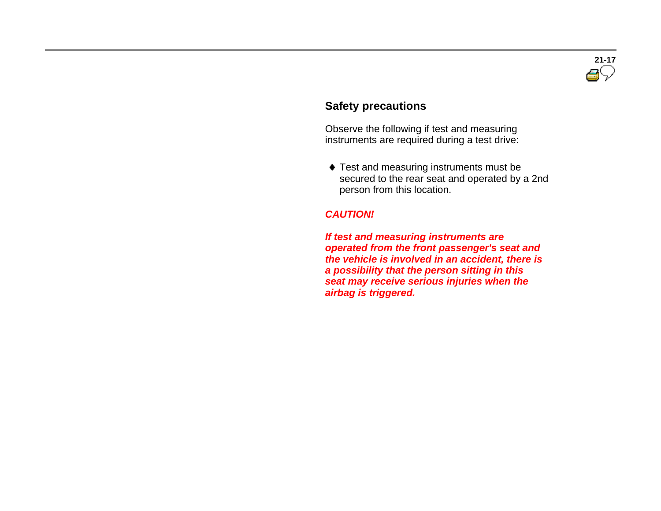

#### **Safety precautions**

 Observe the following if test and measuring instruments are required during a test drive:

 $\bullet$  Test and measuring instruments must be secured to the rear seat and operated by a 2nd person from this location.

#### *CAUTION!*

 *If test and measuring instruments are operated from the front passenger's seat and the vehicle is involved in an accident, there is a possibility that the person sitting in this seat may receive serious injuries when the airbag is triggered.*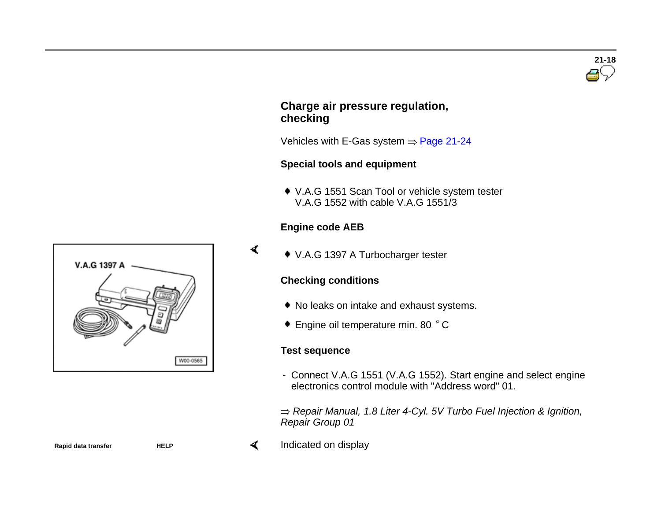# V.A.G 1397 A W00-0565

**Rapid** data transfer **HELP** HELP

#### **Charge air pressure regulation, checking**

Vehicles with E-Gas system  $\Rightarrow$  Page 21-24

#### **Special tools and equipment**

 V.A.G <sup>1551</sup> Scan Tool or vehicle system tester V.A.G 1552 with cable V.A.G 1551/3

#### **Engine code AEB**

 $\blacktriangleleft$ 

V.A.G 1397 A Turbocharger tester

#### **Checking conditions**

- No leaks on intake and exhaust systems.
- ◆ Engine oil temperature min. 80 °C

#### **Test sequence**

- Connect V.A.G 1551 (V.A.G 1552). Start engine and select engine electronics control module with "Address word" 01.

*Repair Manual, 1.8 Liter 4-Cyl. 5V Turbo Fuel Injection & Ignition, Repair Group 01*

Indicated on display

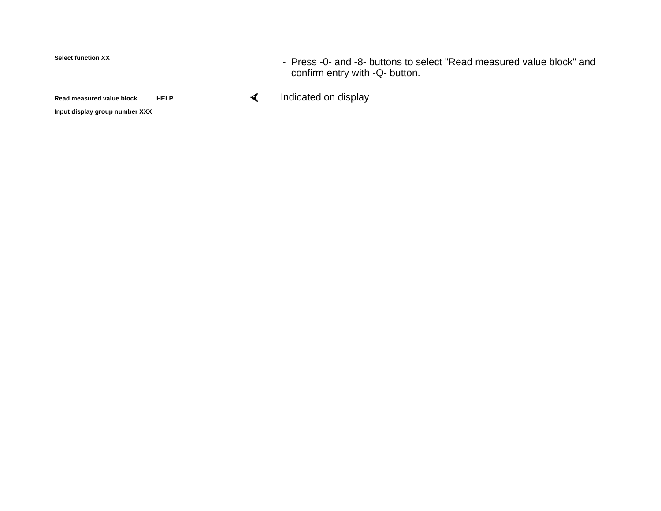#### **Select function XX**

**Read measured value block HELP**

**Input display group number XXX**

- Press -0- and -8- buttons to select "Read measured value block" and confirm entry with -Q- button.
- $\blacktriangleleft$ Indicated on display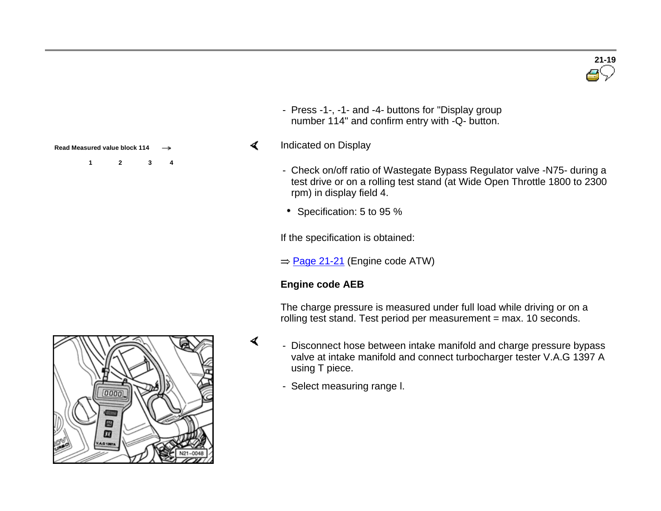

- Press -1-, -1- and -4- buttons for "Display group number 114" and confirm entry with -Q- button.

#### Indicated on Display  $\blacktriangleleft$

- Check on/off ratio of Wastegate Bypass Regulator valve -N75- during a test drive or on a rolling test stand (at Wide Open Throttle 1800 to 2300 rpm) in display field 4.
- Specification: 5 to 95 %

If the specification is obtained:

 $\Rightarrow$  Page 21-21 (Engine code ATW)

### **Engine code AEB**

 $\blacktriangleleft$ 

The charge pressure is measured under full load while driving or on a rolling test stand. Test period per measurement = max. 10 seconds.

- Disconnect hose between intake manifold and charge pressure bypass valve at intake manifold and connect turbocharger tester V.A.G 1397 A using T piece.
	- Select measuring range l.



- **Read Measured value block 114** 
	- **1 2 3 4**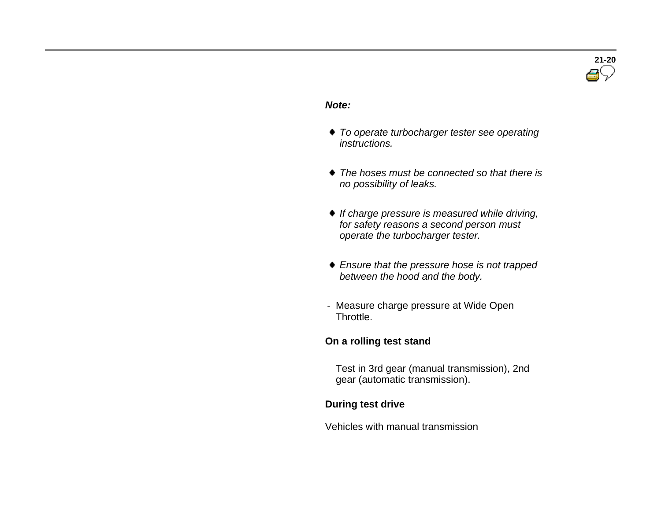

#### *Note:*

- *To operate turbocharger tester see operating instructions.*
- *The hoses must be connected so that there is no possibility of leaks.*
- *If charge pressure is measured while driving, for safety reasons a second person must operate the turbocharger tester.*
- *Ensure that the pressure hose is not trapped between the hood and the body.*
- Measure charge pressure at Wide Open Throttle.

#### **On a rolling test stand**

 Test in 3rd gear (manual transmission), 2nd gear (automatic transmission).

#### **During test drive**

Vehicles with manual transmission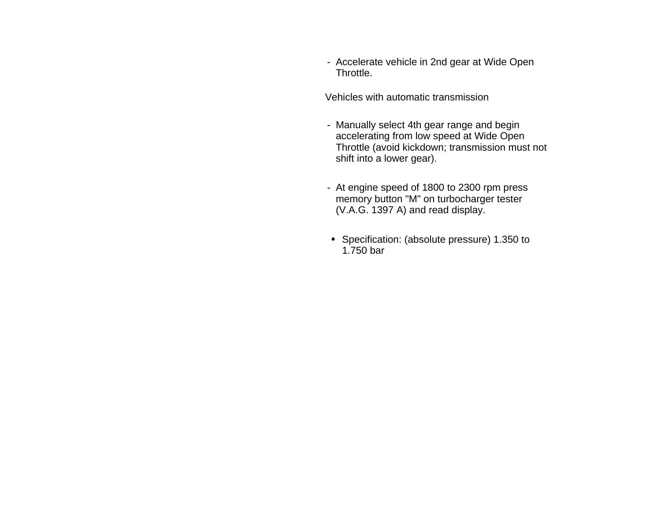- Accelerate vehicle in 2nd gear at Wide Open Throttle.

Vehicles with automatic transmission

- Manually select 4th gear range and begin accelerating from low speed at Wide Open Throttle (avoid kickdown; transmission must not shift into a lower gear).
- At engine speed of 1800 to 2300 rpm press memory button "M" on turbocharger tester (V.A.G. 1397 A) and read display.
- Specification: (absolute pressure) 1.350 to 1.750 bar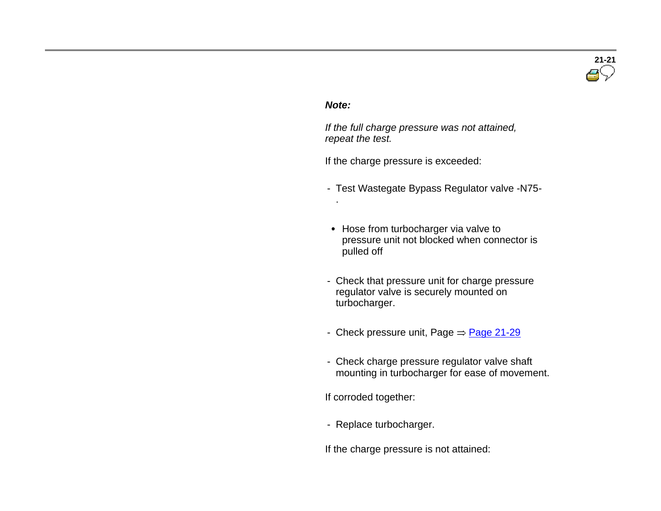# **21-21**

#### *Note:*

.

 *If the full charge pressure was not attained, repeat the test.*

If the charge pressure is exceeded:

- Test Wastegate Bypass Regulator valve -N75-
- Hose from turbocharger via valve to pressure unit not blocked when connector is pulled off
- Check that pressure unit for charge pressure regulator valve is securely mounted on turbocharger.
- Check pressure unit, Page  $\Rightarrow$  Page 21-29
- Check charge pressure regulator valve shaft mounting in turbocharger for ease of movement.

If corroded together:

- Replace turbocharger.

If the charge pressure is not attained: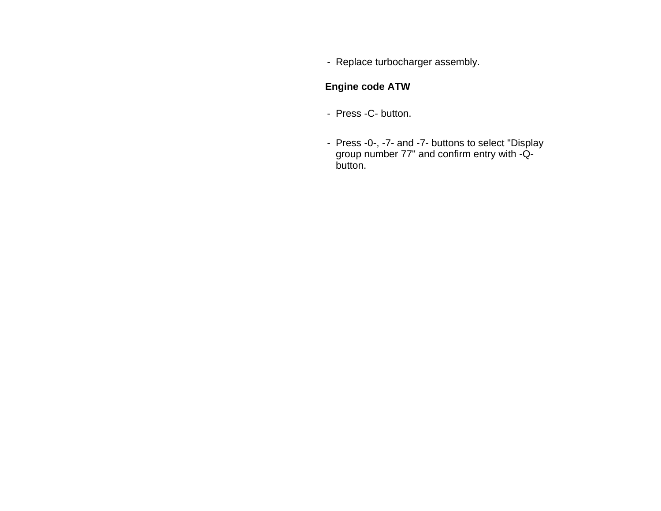- Replace turbocharger assembly.

#### **Engine code ATW**

- Press -C- button.
- Press -0-, -7- and -7- buttons to select "Display group number 77" and confirm entry with -Qbutton.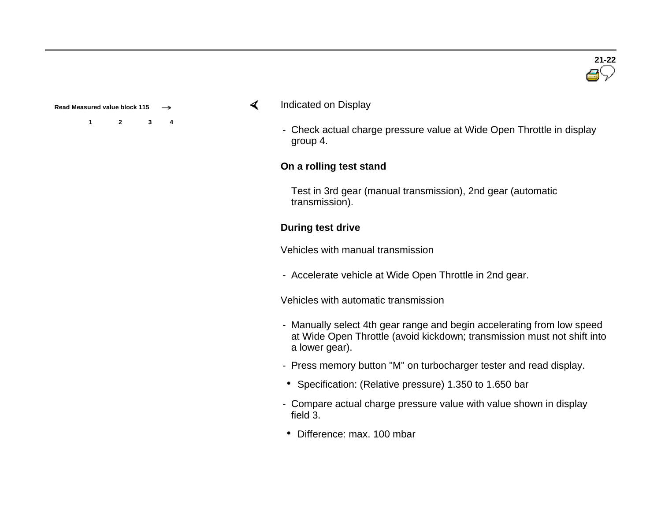**Read Measured value block 115** 

**1 2 3 4**

- $\blacktriangleleft$ Indicated on Display
	- Check actual charge pressure value at Wide Open Throttle in display group 4.

#### **On a rolling test stand**

Test in 3rd gear (manual transmission), 2nd gear (automatic transmission).

#### **During test drive**

Vehicles with manual transmission

- Accelerate vehicle at Wide Open Throttle in 2nd gear.

Vehicles with automatic transmission

- Manually select 4th gear range and begin accelerating from low speed at Wide Open Throttle (avoid kickdown; transmission must not shift into a lower gear).
- Press memory button "M" on turbocharger tester and read display.
- Specification: (Relative pressure) 1.350 to 1.650 bar
- Compare actual charge pressure value with value shown in display field 3.
- Difference: max. 100 mbar

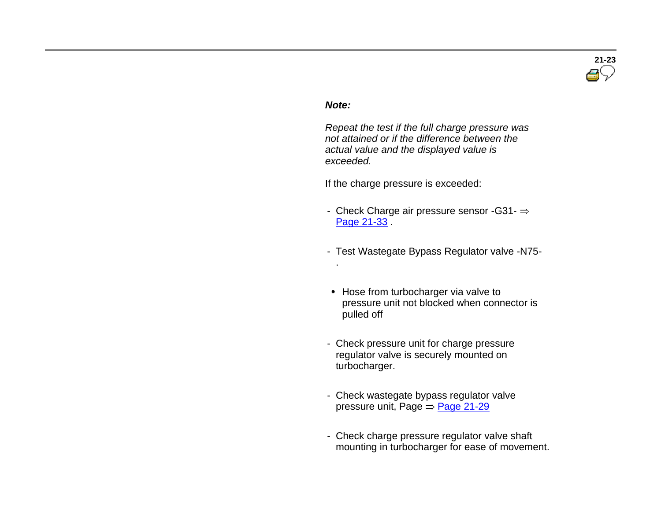

#### *Note:*

.

 *Repeat the test if the full charge pressure was not attained or if the difference between the actual value and the displayed value is exceeded.*

If the charge pressure is exceeded:

- Check Charge air pressure sensor -G31- $\Rightarrow$ Page 21-33
- Test Wastegate Bypass Regulator valve -N75-
- Hose from turbocharger via valve to pressure unit not blocked when connector is pulled off
- Check pressure unit for charge pressure regulator valve is securely mounted on turbocharger.
- Check wastegate bypass regulator valve pressure unit, Page  $\Rightarrow$  Page 21-29
- Check charge pressure regulator valve shaft mounting in turbocharger for ease of movement.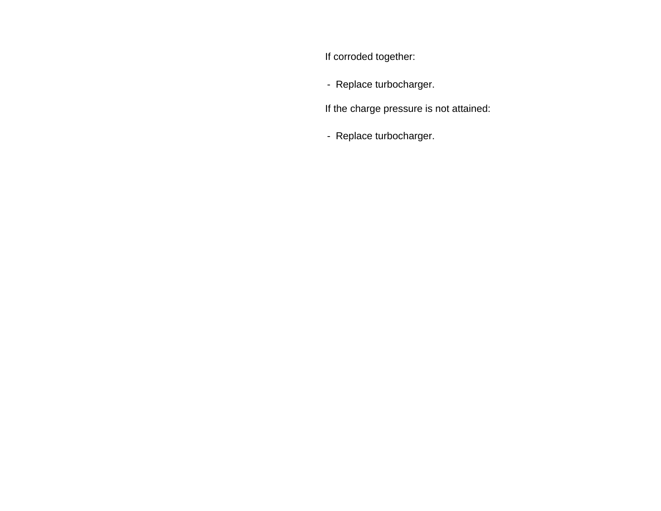If corroded together:

- Replace turbocharger.

If the charge pressure is not attained:

- Replace turbocharger.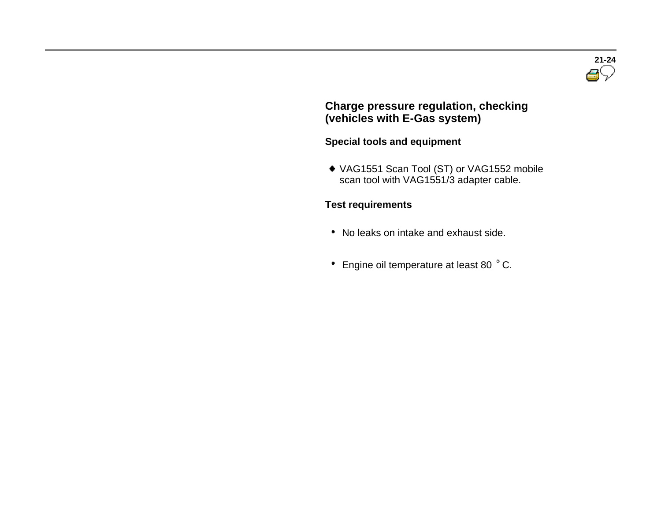

#### **Charge pressure regulation, checking (vehicles with E-Gas system)**

#### **Special tools and equipment**

 VAG1551 Scan Tool (ST) or VAG1552 mobile scan tool with VAG1551/3 adapter cable.

#### **Test requirements**

- No leaks on intake and exhaust side.
- $\degree$  Engine oil temperature at least 80  $\degree$  C.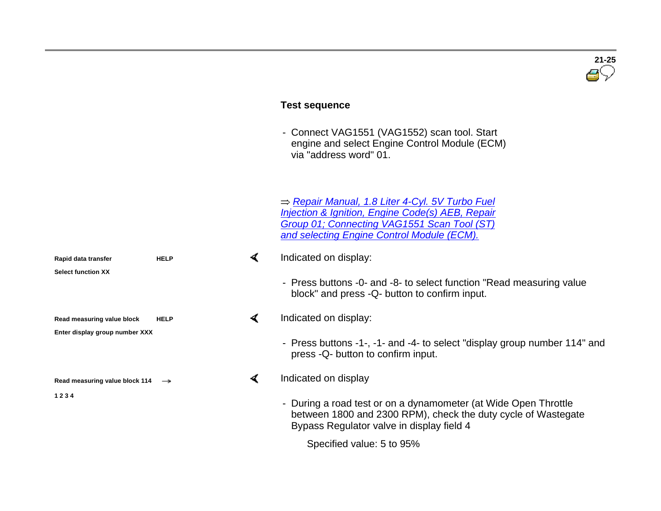|                                                              |                                     | <b>Test sequence</b>                                                                                                                                                                                                           |
|--------------------------------------------------------------|-------------------------------------|--------------------------------------------------------------------------------------------------------------------------------------------------------------------------------------------------------------------------------|
|                                                              |                                     | - Connect VAG1551 (VAG1552) scan tool. Start<br>engine and select Engine Control Module (ECM)<br>via "address word" 01.                                                                                                        |
|                                                              |                                     | ⇒ Repair Manual, 1.8 Liter 4-Cyl. 5V Turbo Fuel<br><b>Injection &amp; Ignition, Engine Code(s) AEB, Repair</b><br>Group 01; Connecting VAG1551 Scan Tool (ST)<br>and selecting Engine Control Module (ECM).                    |
| Rapid data transfer<br><b>Select function XX</b>             | ≺<br><b>HELP</b>                    | Indicated on display:                                                                                                                                                                                                          |
|                                                              |                                     | - Press buttons -0- and -8- to select function "Read measuring value<br>block" and press -Q- button to confirm input.                                                                                                          |
| Read measuring value block<br>Enter display group number XXX | $\blacktriangleleft$<br><b>HELP</b> | Indicated on display:                                                                                                                                                                                                          |
|                                                              |                                     | - Press buttons -1-, -1- and -4- to select "display group number 114" and<br>press -Q- button to confirm input.                                                                                                                |
| Read measuring value block 114 $\rightarrow$                 | ≺                                   | Indicated on display                                                                                                                                                                                                           |
| 1234                                                         |                                     | - During a road test or on a dynamometer (at Wide Open Throttle<br>between 1800 and 2300 RPM), check the duty cycle of Wastegate<br>Bypass Regulator valve in display field 4                                                  |
|                                                              |                                     | and the contract of the contract of the contract of the contract of the contract of the contract of the contract of the contract of the contract of the contract of the contract of the contract of the contract of the contra |

 $\overline{\mathbf{B}}$ 

Specified value: 5 to 95%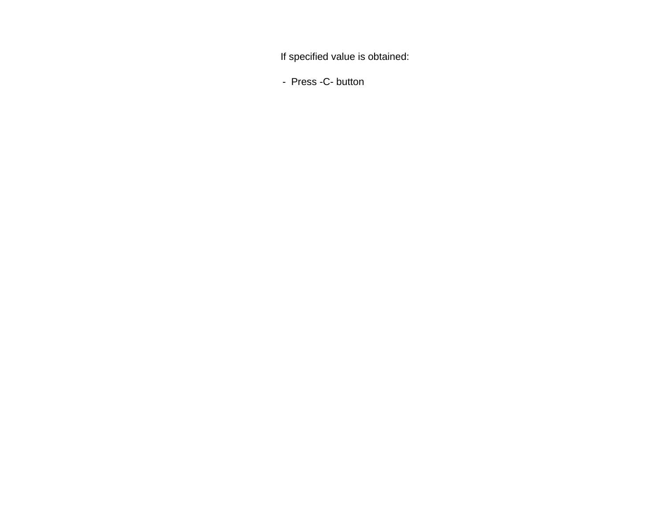If specified value is obtained:

- Press -C- button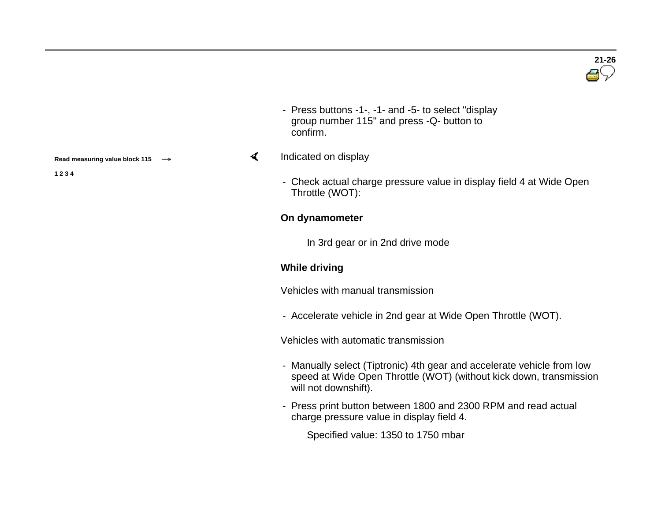- Press buttons -1-, -1- and -5- to select "display group number 115" and press -Q- button to confirm.

#### $\blacktriangleleft$ Indicated on display

- Check actual charge pressure value in display field 4 at Wide Open Throttle (WOT):

#### **On dynamometer**

In 3rd gear or in 2nd drive mode

#### **While driving**

Vehicles with manual transmission

- Accelerate vehicle in 2nd gear at Wide Open Throttle (WOT).

Vehicles with automatic transmission

- Manually select (Tiptronic) 4th gear and accelerate vehicle from low speed at Wide Open Throttle (WOT) (without kick down, transmission will not downshift).
- Press print button between 1800 and 2300 RPM and read actual charge pressure value in display field 4.

Specified value: 1350 to 1750 mbar

**Read measuring value block 115** 

**1 2 3 4**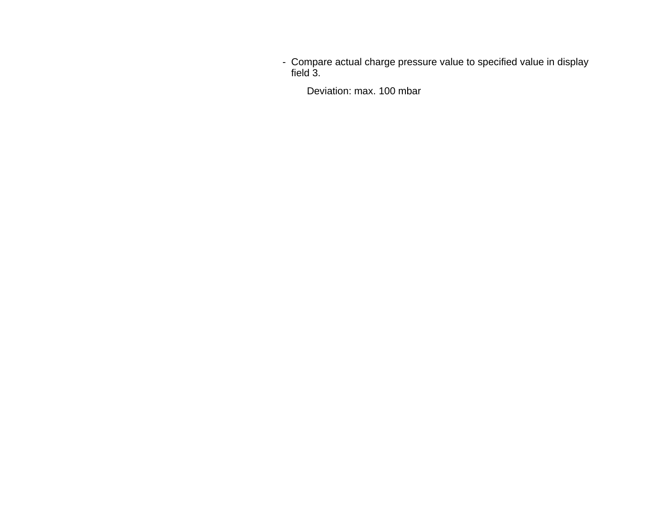- Compare actual charge pressure value to specified value in display field 3.

Deviation: max. 100 mbar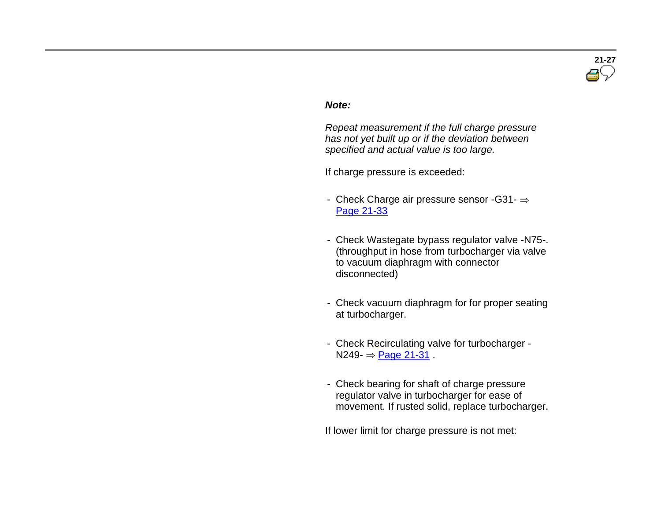

#### *Note:*

 *Repeat measurement if the full charge pressure has not yet built up or if the deviation between specified and actual value is too large.*

If charge pressure is exceeded:

- Check Charge air pressure sensor -G31- $\Rightarrow$ Page 21-33
- Check Wastegate bypass regulator valve -N75-. (throughput in hose from turbocharger via valve to vacuum diaphragm with connector disconnected)
- Check vacuum diaphragm for for proper seating at turbocharger.
- Check Recirculating valve for turbocharger  $N249 = Paqe 21-31$ .
- Check bearing for shaft of charge pressure regulator valve in turbocharger for ease of movement. If rusted solid, replace turbocharger.

If lower limit for charge pressure is not met: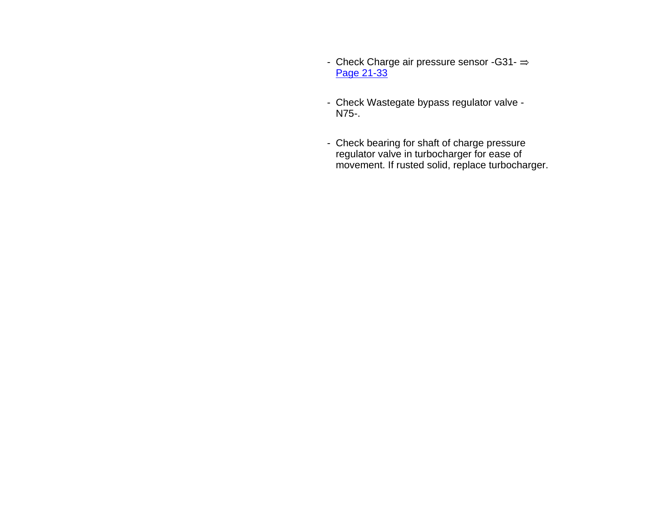- Check Charge air pressure sensor -G31- $\Rightarrow$ Page 21-33
- Check Wastegate bypass regulator valve N75-.
- Check bearing for shaft of charge pressure regulator valve in turbocharger for ease of movement. If rusted solid, replace turbocharger.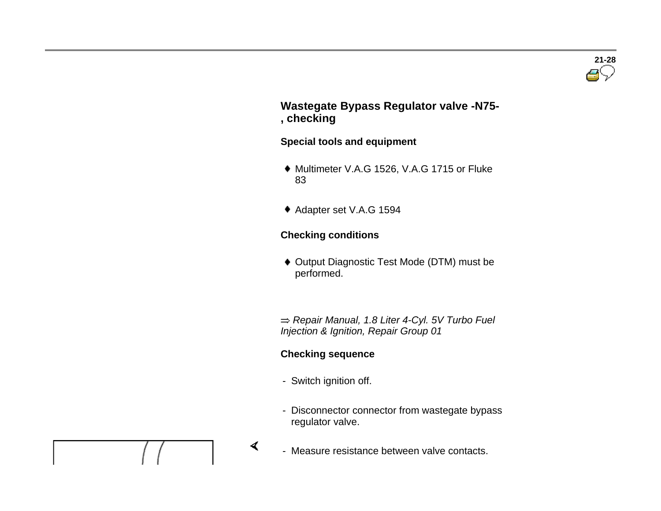#### **Wastegate Bypass Regulator valve -N75- , checking**

#### **Special tools and equipment**

- Multimeter V.A.G 1526, V.A.G <sup>1715</sup> or Fluke 83
- Adapter set V.A.G <sup>1594</sup>

#### **Checking conditions**

 Output Diagnostic Test Mode (DTM) must be performed.

 *Repair Manual, 1.8 Liter 4-Cyl. 5V Turbo Fuel Injection & Ignition, Repair Group 01*

#### **Checking sequence**

- Switch ignition off.

 $\blacktriangleleft$ 

- Disconnector connector from wastegate bypass regulator valve.
- Measure resistance between valve contacts.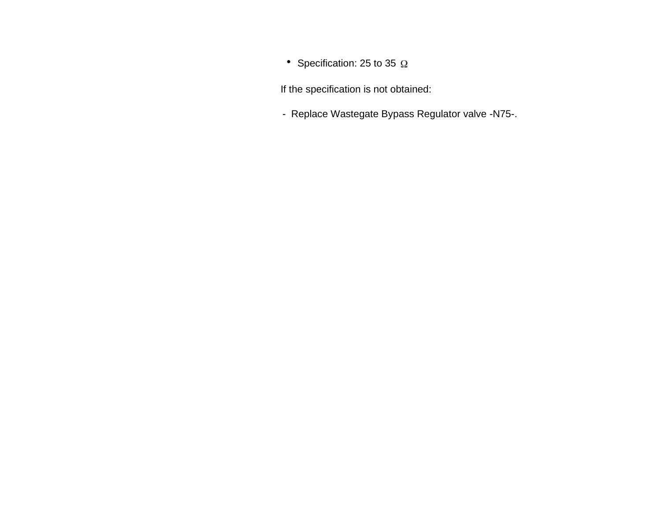• Specification: 25 to 35  $\Omega$ 

If the specification is not obtained:

- Replace Wastegate Bypass Regulator valve -N75-.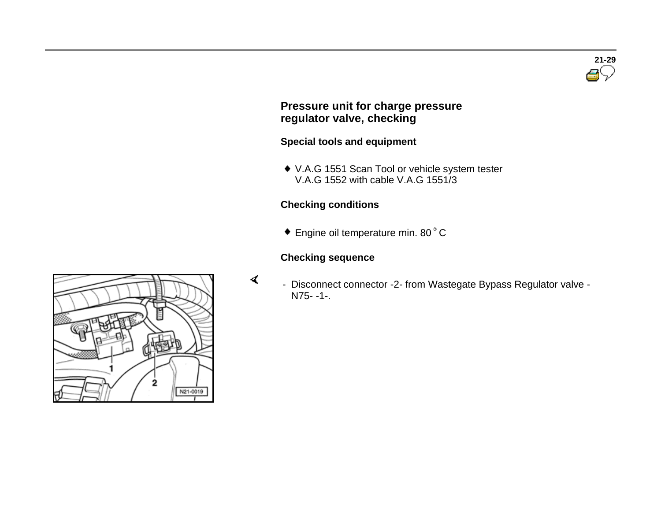

#### **Pressure unit for charge pressure regulator valve, checking**

#### **Special tools and equipment**

 V.A.G <sup>1551</sup> Scan Tool or vehicle system tester V.A.G 1552 with cable V.A.G 1551/3

#### **Checking conditions**

 $\bullet$  Engine oil temperature min. 80 $^{\circ}$  C

#### **Checking sequence**

 $\blacktriangleleft$ 

 - Disconnect connector -2- from Wastegate Bypass Regulator valve - N75- -1-.

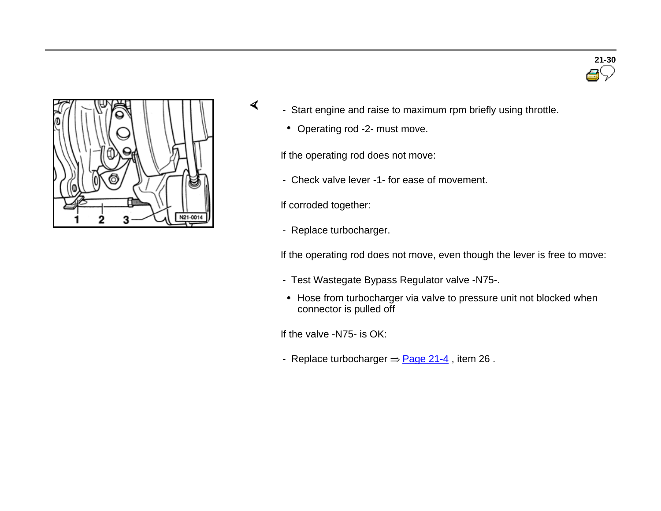

- Start engine and raise to maximum rpm briefly using throttle.
	- Operating rod -2- must move.

If the operating rod does not move:

- Check valve lever -1- for ease of movement.

If corroded together:

 $\blacktriangleleft$ 

- Replace turbocharger.

If the operating rod does not move, even though the lever is free to move:

- Test Wastegate Bypass Regulator valve -N75-.
- Hose from turbocharger via valve to pressure unit not blocked when connector is pulled off

If the valve -N75- is OK:

- Replace turbocharger  $\Rightarrow$  Page 21-4, item 26.

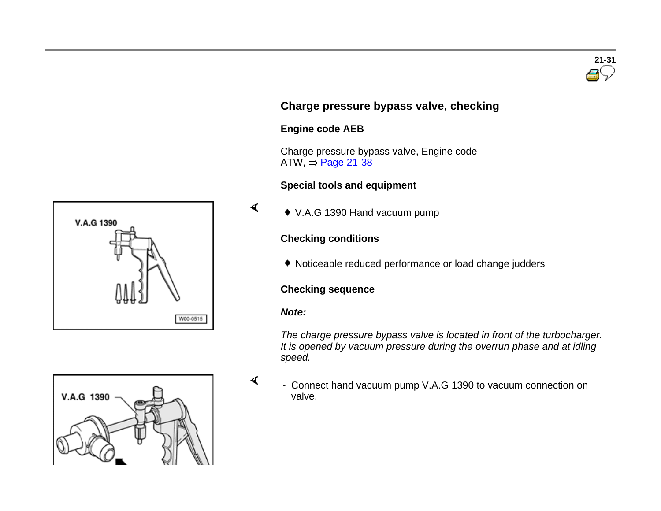# **21-31**

#### **Charge pressure bypass valve, checking**

#### **Engine code AEB**

 Charge pressure bypass valve, Engine code  $ATW = Page 21-38$ 

#### **Special tools and equipment**

V.A.G 1390 Hand vacuum pump

#### **Checking conditions**

Noticeable reduced performance or load change judders

#### **Checking sequence**

#### *Note:*

 $\blacktriangleleft$ 

 $\blacktriangleleft$ 

*The charge pressure bypass valve is located in front of the turbocharger. It is opened by vacuum pressure during the overrun phase and at idling speed.*

 - Connect hand vacuum pump V.A.G 1390 to vacuum connection on valve.



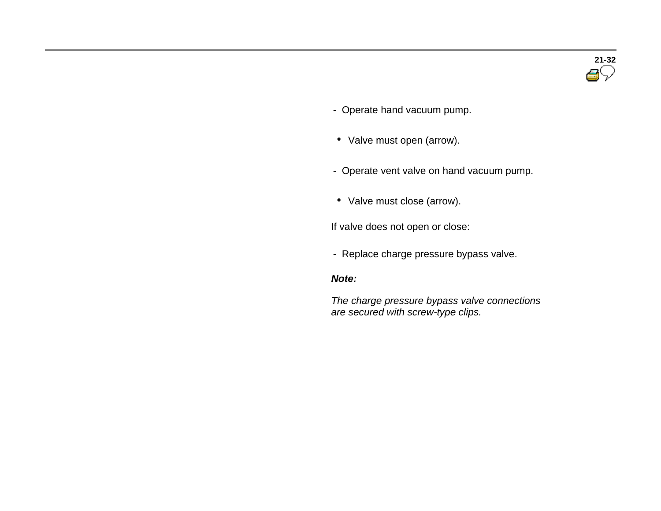- Operate hand vacuum pump.
- Valve must open (arrow).
- Operate vent valve on hand vacuum pump.
- Valve must close (arrow).

If valve does not open or close:

- Replace charge pressure bypass valve.

#### *Note:*

 *The charge pressure bypass valve connections are secured with screw-type clips.*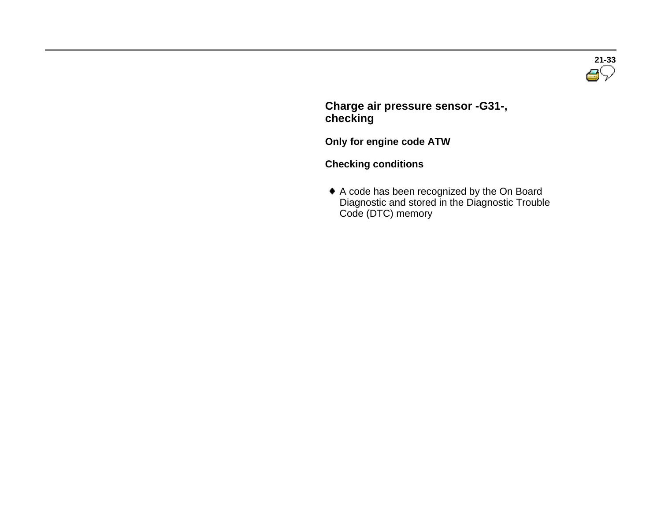

 **Charge air pressure sensor -G31-, checking**

**Only for engine code ATW**

**Checking conditions** 

 A code has been recognized by the On Board Diagnostic and stored in the Diagnostic Trouble Code (DTC) memory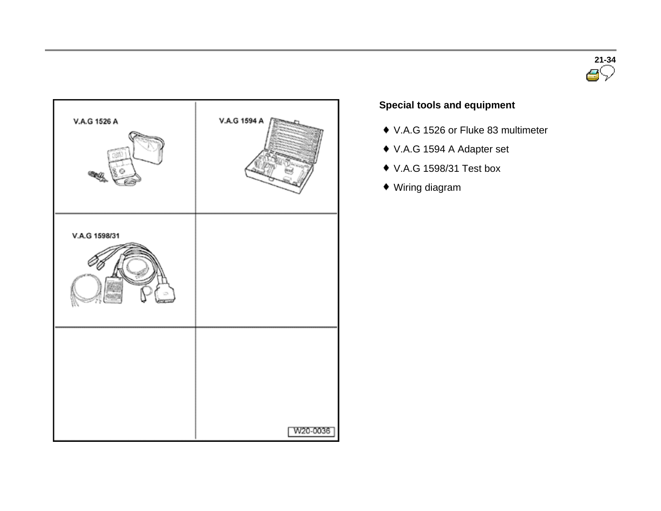



#### **Special tools and equipment**

- ◆ V.A.G 1526 or Fluke 83 multimeter
- V.A.G 1594 A Adapter set
- V.A.G 1598/31 Test box
- Wiring diagram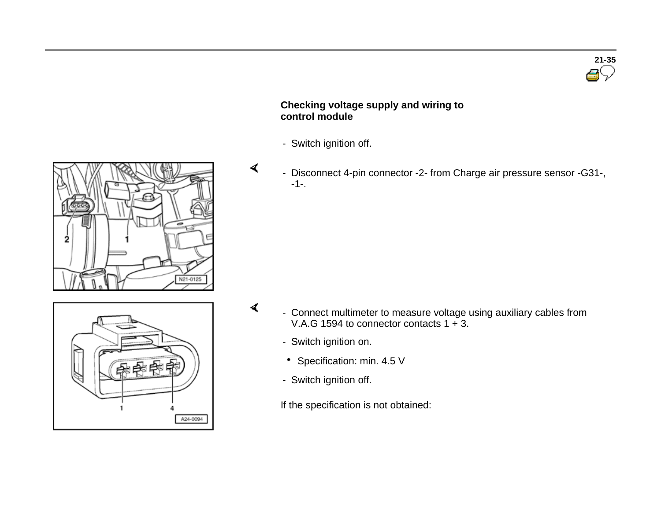

#### **Checking voltage supply and wiring to control module**

- Switch ignition off.

 $\blacktriangleleft$ 

 $\blacktriangleleft$ 

A24-0094

 - Disconnect 4-pin connector -2- from Charge air pressure sensor -G31-, -1-.



- Connect multimeter to measure voltage using auxiliary cables from V.A.G 1594 to connector contacts 1 + 3.
	- Switch ignition on.
	- Specification: min. 4.5 V
	- Switch ignition off.

If the specification is not obtained: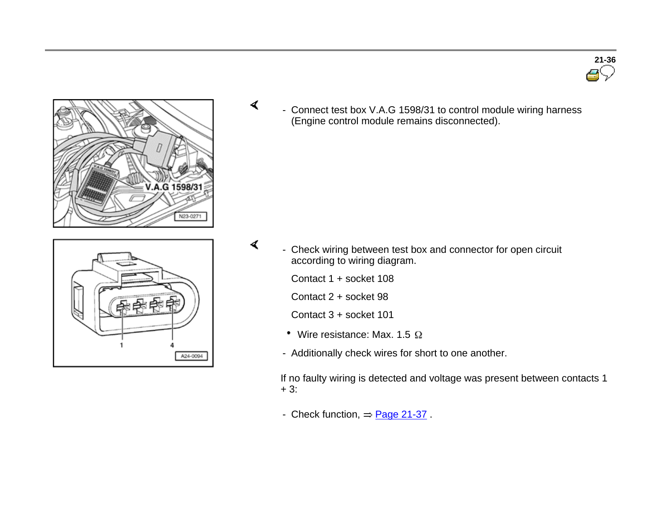





- A24-0094
- Check wiring between test box and connector for open circuit according to wiring diagram.

Contact 1 + socket 108

 $\blacktriangleleft$ 

Contact 2 + socket 98

Contact 3 + socket 101

- Wire resistance: Max. 1.5  $\Omega$
- Additionally check wires for short to one another.

If no faulty wiring is detected and voltage was present between contacts 1 + 3:

- Check function,  $=$  Page 21-37.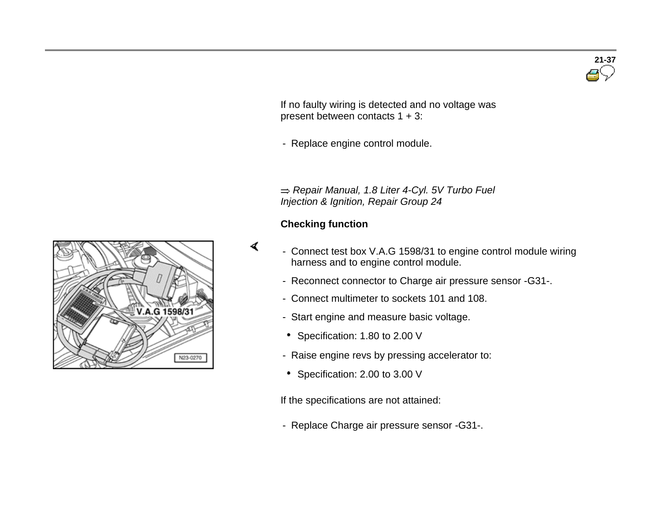If no faulty wiring is detected and no voltage was present between contacts 1 + 3:

- Replace engine control module.

 *Repair Manual, 1.8 Liter 4-Cyl. 5V Turbo Fuel Injection & Ignition, Repair Group 24*

#### **Checking function**

 $\blacktriangleleft$ 

- Connect test box V.A.G 1598/31 to engine control module wiring harness and to engine control module.
	- Reconnect connector to Charge air pressure sensor -G31-.
	- Connect multimeter to sockets 101 and 108.
	- Start engine and measure basic voltage.
	- Specification: 1.80 to 2.00 V
	- Raise engine revs by pressing accelerator to:
	- Specification: 2.00 to 3.00 V

If the specifications are not attained:

- Replace Charge air pressure sensor -G31-.



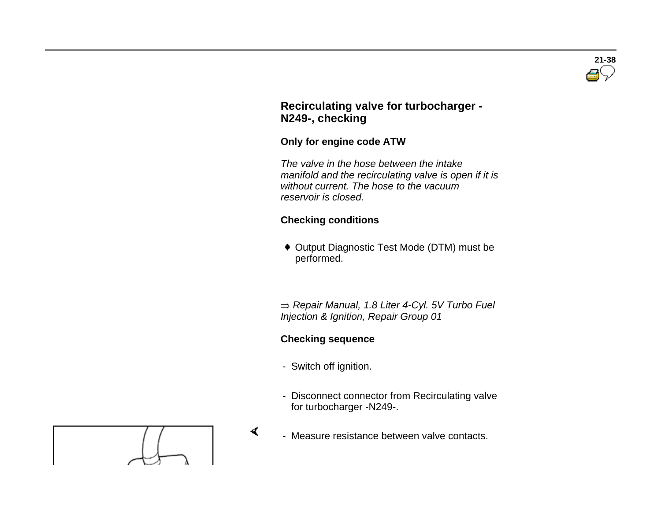

#### **Recirculating valve for turbocharger - N249-, checking**

#### **Only for engine code ATW**

 *The valve in the hose between the intake manifold and the recirculating valve is open if it is without current. The hose to the vacuum reservoir is closed.*

#### **Checking conditions**

 Output Diagnostic Test Mode (DTM) must be performed.

 *Repair Manual, 1.8 Liter 4-Cyl. 5V Turbo Fuel Injection & Ignition, Repair Group 01*

### **Checking sequence**

- Switch off ignition.

 $\blacktriangleleft$ 

- Disconnect connector from Recirculating valve for turbocharger -N249-.



- Measure resistance between valve contacts.